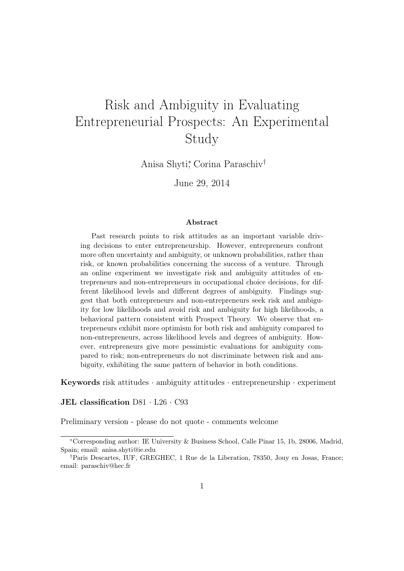# Risk and Ambiguity in Evaluating Entrepreneurial Prospects: An Experimental Study

Anisa Shyti<sup>∗</sup> , Corina Paraschiv†

June 29, 2014

#### Abstract

Past research points to risk attitudes as an important variable driving decisions to enter entrepreneurship. However, entrepreneurs confront more often uncertainty and ambiguity, or unknown probabilities, rather than risk, or known probabilities concerning the success of a venture. Through an online experiment we investigate risk and ambiguity attitudes of entrepreneurs and non-entrepreneurs in occupational choice decisions, for different likelihood levels and different degrees of ambiguity. Findings suggest that both entrepreneurs and non-entrepreneurs seek risk and ambiguity for low likelihoods and avoid risk and ambiguity for high likelihoods, a behavioral pattern consistent with Prospect Theory. We observe that entrepreneurs exhibit more optimism for both risk and ambiguity compared to non-entrepreneurs, across likelihood levels and degrees of ambiguity. However, entrepreneurs give more pessimistic evaluations for ambiguity compared to risk; non-entrepreneurs do not discriminate between risk and ambiguity, exhibiting the same pattern of behavior in both conditions.

**Keywords** risk attitudes  $\cdot$  ambiguity attitudes  $\cdot$  entrepreneurship  $\cdot$  experiment

JEL classification D81 · L26 · C93

Preliminary version - please do not quote - comments welcome

<sup>∗</sup>Corresponding author: IE University & Business School, Calle Pinar 15, 1b, 28006, Madrid, Spain; email: anisa.shyti@ie.edu

<sup>†</sup>Paris Descartes, IUF, GREGHEC, 1 Rue de la Liberation, 78350, Jouy en Josas, France; email: paraschiv@hec.fr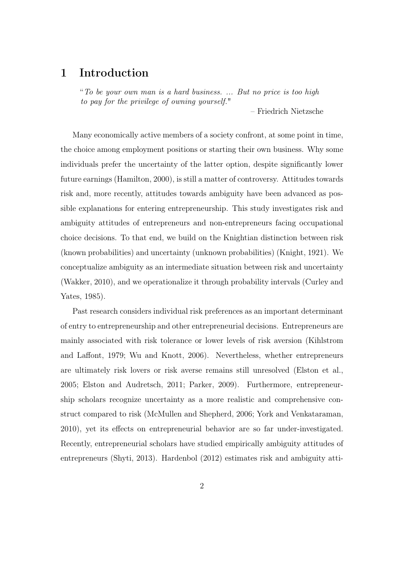# 1 Introduction

"To be your own man is a hard business. ... But no price is too high to pay for the privilege of owning yourself."

– Friedrich Nietzsche

Many economically active members of a society confront, at some point in time, the choice among employment positions or starting their own business. Why some individuals prefer the uncertainty of the latter option, despite significantly lower future earnings (Hamilton, 2000), is still a matter of controversy. Attitudes towards risk and, more recently, attitudes towards ambiguity have been advanced as possible explanations for entering entrepreneurship. This study investigates risk and ambiguity attitudes of entrepreneurs and non-entrepreneurs facing occupational choice decisions. To that end, we build on the Knightian distinction between risk (known probabilities) and uncertainty (unknown probabilities) (Knight, 1921). We conceptualize ambiguity as an intermediate situation between risk and uncertainty (Wakker, 2010), and we operationalize it through probability intervals (Curley and Yates, 1985).

Past research considers individual risk preferences as an important determinant of entry to entrepreneurship and other entrepreneurial decisions. Entrepreneurs are mainly associated with risk tolerance or lower levels of risk aversion (Kihlstrom and Laffont, 1979; Wu and Knott, 2006). Nevertheless, whether entrepreneurs are ultimately risk lovers or risk averse remains still unresolved (Elston et al., 2005; Elston and Audretsch, 2011; Parker, 2009). Furthermore, entrepreneurship scholars recognize uncertainty as a more realistic and comprehensive construct compared to risk (McMullen and Shepherd, 2006; York and Venkataraman, 2010), yet its effects on entrepreneurial behavior are so far under-investigated. Recently, entrepreneurial scholars have studied empirically ambiguity attitudes of entrepreneurs (Shyti, 2013). Hardenbol (2012) estimates risk and ambiguity atti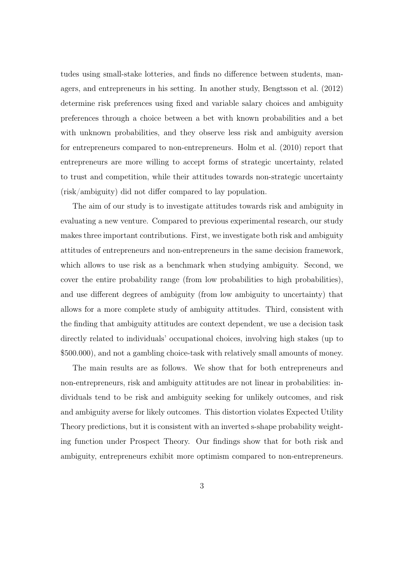tudes using small-stake lotteries, and finds no difference between students, managers, and entrepreneurs in his setting. In another study, Bengtsson et al. (2012) determine risk preferences using fixed and variable salary choices and ambiguity preferences through a choice between a bet with known probabilities and a bet with unknown probabilities, and they observe less risk and ambiguity aversion for entrepreneurs compared to non-entrepreneurs. Holm et al. (2010) report that entrepreneurs are more willing to accept forms of strategic uncertainty, related to trust and competition, while their attitudes towards non-strategic uncertainty (risk/ambiguity) did not differ compared to lay population.

The aim of our study is to investigate attitudes towards risk and ambiguity in evaluating a new venture. Compared to previous experimental research, our study makes three important contributions. First, we investigate both risk and ambiguity attitudes of entrepreneurs and non-entrepreneurs in the same decision framework, which allows to use risk as a benchmark when studying ambiguity. Second, we cover the entire probability range (from low probabilities to high probabilities), and use different degrees of ambiguity (from low ambiguity to uncertainty) that allows for a more complete study of ambiguity attitudes. Third, consistent with the finding that ambiguity attitudes are context dependent, we use a decision task directly related to individuals' occupational choices, involving high stakes (up to \$500.000), and not a gambling choice-task with relatively small amounts of money.

The main results are as follows. We show that for both entrepreneurs and non-entrepreneurs, risk and ambiguity attitudes are not linear in probabilities: individuals tend to be risk and ambiguity seeking for unlikely outcomes, and risk and ambiguity averse for likely outcomes. This distortion violates Expected Utility Theory predictions, but it is consistent with an inverted s-shape probability weighting function under Prospect Theory. Our findings show that for both risk and ambiguity, entrepreneurs exhibit more optimism compared to non-entrepreneurs.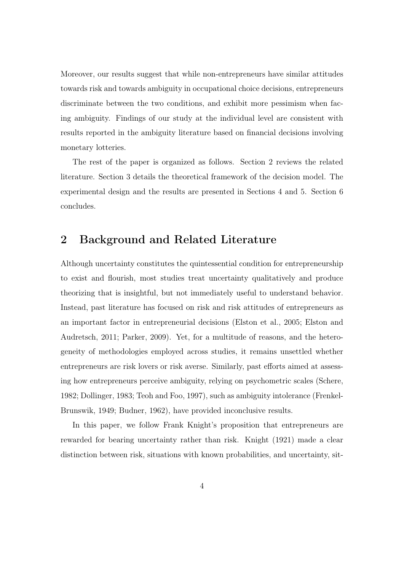Moreover, our results suggest that while non-entrepreneurs have similar attitudes towards risk and towards ambiguity in occupational choice decisions, entrepreneurs discriminate between the two conditions, and exhibit more pessimism when facing ambiguity. Findings of our study at the individual level are consistent with results reported in the ambiguity literature based on financial decisions involving monetary lotteries.

The rest of the paper is organized as follows. Section 2 reviews the related literature. Section 3 details the theoretical framework of the decision model. The experimental design and the results are presented in Sections 4 and 5. Section 6 concludes.

# 2 Background and Related Literature

Although uncertainty constitutes the quintessential condition for entrepreneurship to exist and flourish, most studies treat uncertainty qualitatively and produce theorizing that is insightful, but not immediately useful to understand behavior. Instead, past literature has focused on risk and risk attitudes of entrepreneurs as an important factor in entrepreneurial decisions (Elston et al., 2005; Elston and Audretsch, 2011; Parker, 2009). Yet, for a multitude of reasons, and the heterogeneity of methodologies employed across studies, it remains unsettled whether entrepreneurs are risk lovers or risk averse. Similarly, past efforts aimed at assessing how entrepreneurs perceive ambiguity, relying on psychometric scales (Schere, 1982; Dollinger, 1983; Teoh and Foo, 1997), such as ambiguity intolerance (Frenkel-Brunswik, 1949; Budner, 1962), have provided inconclusive results.

In this paper, we follow Frank Knight's proposition that entrepreneurs are rewarded for bearing uncertainty rather than risk. Knight (1921) made a clear distinction between risk, situations with known probabilities, and uncertainty, sit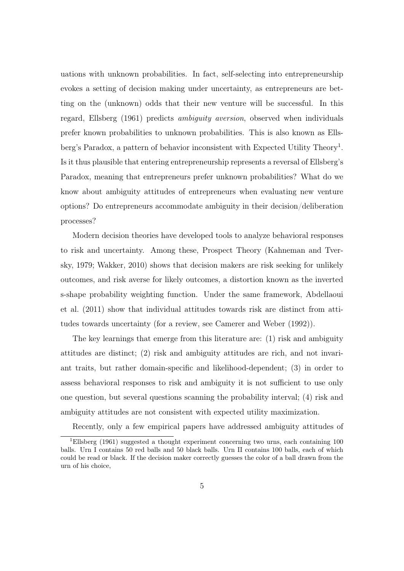uations with unknown probabilities. In fact, self-selecting into entrepreneurship evokes a setting of decision making under uncertainty, as entrepreneurs are betting on the (unknown) odds that their new venture will be successful. In this regard, Ellsberg (1961) predicts ambiguity aversion, observed when individuals prefer known probabilities to unknown probabilities. This is also known as Ellsberg's Paradox, a pattern of behavior inconsistent with Expected Utility Theory<sup>1</sup>. Is it thus plausible that entering entrepreneurship represents a reversal of Ellsberg's Paradox, meaning that entrepreneurs prefer unknown probabilities? What do we know about ambiguity attitudes of entrepreneurs when evaluating new venture options? Do entrepreneurs accommodate ambiguity in their decision/deliberation processes?

Modern decision theories have developed tools to analyze behavioral responses to risk and uncertainty. Among these, Prospect Theory (Kahneman and Tversky, 1979; Wakker, 2010) shows that decision makers are risk seeking for unlikely outcomes, and risk averse for likely outcomes, a distortion known as the inverted s-shape probability weighting function. Under the same framework, Abdellaoui et al. (2011) show that individual attitudes towards risk are distinct from attitudes towards uncertainty (for a review, see Camerer and Weber (1992)).

The key learnings that emerge from this literature are: (1) risk and ambiguity attitudes are distinct; (2) risk and ambiguity attitudes are rich, and not invariant traits, but rather domain-specific and likelihood-dependent; (3) in order to assess behavioral responses to risk and ambiguity it is not sufficient to use only one question, but several questions scanning the probability interval; (4) risk and ambiguity attitudes are not consistent with expected utility maximization.

Recently, only a few empirical papers have addressed ambiguity attitudes of

<sup>&</sup>lt;sup>1</sup>Ellsberg (1961) suggested a thought experiment concerning two urns, each containing 100 balls. Urn I contains 50 red balls and 50 black balls. Urn II contains 100 balls, each of which could be read or black. If the decision maker correctly guesses the color of a ball drawn from the urn of his choice,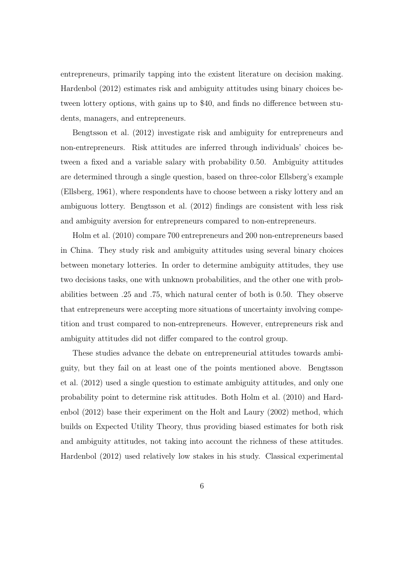entrepreneurs, primarily tapping into the existent literature on decision making. Hardenbol (2012) estimates risk and ambiguity attitudes using binary choices between lottery options, with gains up to \$40, and finds no difference between students, managers, and entrepreneurs.

Bengtsson et al. (2012) investigate risk and ambiguity for entrepreneurs and non-entrepreneurs. Risk attitudes are inferred through individuals' choices between a fixed and a variable salary with probability 0.50. Ambiguity attitudes are determined through a single question, based on three-color Ellsberg's example (Ellsberg, 1961), where respondents have to choose between a risky lottery and an ambiguous lottery. Bengtsson et al. (2012) findings are consistent with less risk and ambiguity aversion for entrepreneurs compared to non-entrepreneurs.

Holm et al. (2010) compare 700 entrepreneurs and 200 non-entrepreneurs based in China. They study risk and ambiguity attitudes using several binary choices between monetary lotteries. In order to determine ambiguity attitudes, they use two decisions tasks, one with unknown probabilities, and the other one with probabilities between .25 and .75, which natural center of both is 0.50. They observe that entrepreneurs were accepting more situations of uncertainty involving competition and trust compared to non-entrepreneurs. However, entrepreneurs risk and ambiguity attitudes did not differ compared to the control group.

These studies advance the debate on entrepreneurial attitudes towards ambiguity, but they fail on at least one of the points mentioned above. Bengtsson et al. (2012) used a single question to estimate ambiguity attitudes, and only one probability point to determine risk attitudes. Both Holm et al. (2010) and Hardenbol (2012) base their experiment on the Holt and Laury (2002) method, which builds on Expected Utility Theory, thus providing biased estimates for both risk and ambiguity attitudes, not taking into account the richness of these attitudes. Hardenbol (2012) used relatively low stakes in his study. Classical experimental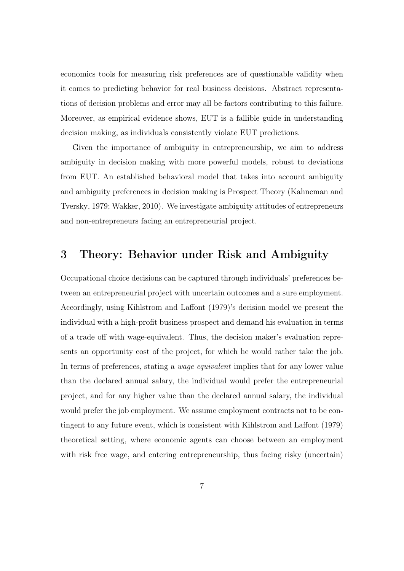economics tools for measuring risk preferences are of questionable validity when it comes to predicting behavior for real business decisions. Abstract representations of decision problems and error may all be factors contributing to this failure. Moreover, as empirical evidence shows, EUT is a fallible guide in understanding decision making, as individuals consistently violate EUT predictions.

Given the importance of ambiguity in entrepreneurship, we aim to address ambiguity in decision making with more powerful models, robust to deviations from EUT. An established behavioral model that takes into account ambiguity and ambiguity preferences in decision making is Prospect Theory (Kahneman and Tversky, 1979; Wakker, 2010). We investigate ambiguity attitudes of entrepreneurs and non-entrepreneurs facing an entrepreneurial project.

# 3 Theory: Behavior under Risk and Ambiguity

Occupational choice decisions can be captured through individuals' preferences between an entrepreneurial project with uncertain outcomes and a sure employment. Accordingly, using Kihlstrom and Laffont (1979)'s decision model we present the individual with a high-profit business prospect and demand his evaluation in terms of a trade off with wage-equivalent. Thus, the decision maker's evaluation represents an opportunity cost of the project, for which he would rather take the job. In terms of preferences, stating a wage equivalent implies that for any lower value than the declared annual salary, the individual would prefer the entrepreneurial project, and for any higher value than the declared annual salary, the individual would prefer the job employment. We assume employment contracts not to be contingent to any future event, which is consistent with Kihlstrom and Laffont (1979) theoretical setting, where economic agents can choose between an employment with risk free wage, and entering entrepreneurship, thus facing risky (uncertain)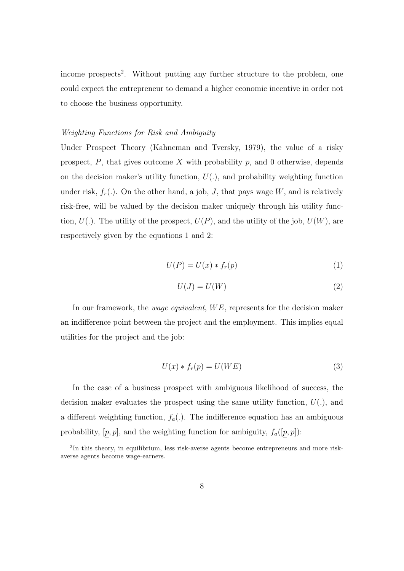income prospects<sup>2</sup>. Without putting any further structure to the problem, one could expect the entrepreneur to demand a higher economic incentive in order not to choose the business opportunity.

### Weighting Functions for Risk and Ambiguity

Under Prospect Theory (Kahneman and Tversky, 1979), the value of a risky prospect,  $P$ , that gives outcome  $X$  with probability  $p$ , and 0 otherwise, depends on the decision maker's utility function,  $U(.)$ , and probability weighting function under risk,  $f_r(.)$ . On the other hand, a job, J, that pays wage W, and is relatively risk-free, will be valued by the decision maker uniquely through his utility function,  $U(.)$ . The utility of the prospect,  $U(P)$ , and the utility of the job,  $U(W)$ , are respectively given by the equations 1 and 2:

$$
U(P) = U(x) * f_r(p)
$$
\n<sup>(1)</sup>

$$
U(J) = U(W) \tag{2}
$$

In our framework, the *wage equivalent*,  $WE$ , represents for the decision maker an indifference point between the project and the employment. This implies equal utilities for the project and the job:

$$
U(x) * f_r(p) = U(WE)
$$
\n(3)

In the case of a business prospect with ambiguous likelihood of success, the decision maker evaluates the prospect using the same utility function,  $U(.)$ , and a different weighting function,  $f_a(.)$ . The indifference equation has an ambiguous probability,  $[p, \overline{p}]$ , and the weighting function for ambiguity,  $f_a([p, \overline{p}])$ :

<sup>&</sup>lt;sup>2</sup>In this theory, in equilibrium, less risk-averse agents become entrepreneurs and more riskaverse agents become wage-earners.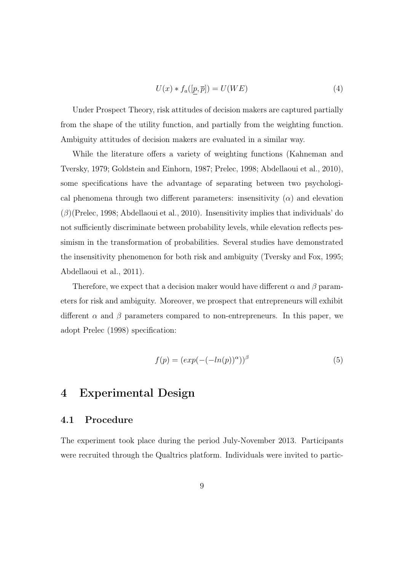$$
U(x) * f_a([p, \overline{p}]) = U(WE)
$$
\n<sup>(4)</sup>

Under Prospect Theory, risk attitudes of decision makers are captured partially from the shape of the utility function, and partially from the weighting function. Ambiguity attitudes of decision makers are evaluated in a similar way.

While the literature offers a variety of weighting functions (Kahneman and Tversky, 1979; Goldstein and Einhorn, 1987; Prelec, 1998; Abdellaoui et al., 2010), some specifications have the advantage of separating between two psychological phenomena through two different parameters: insensitivity  $(\alpha)$  and elevation  $(\beta)$ (Prelec, 1998; Abdellaoui et al., 2010). Insensitivity implies that individuals' do not sufficiently discriminate between probability levels, while elevation reflects pessimism in the transformation of probabilities. Several studies have demonstrated the insensitivity phenomenon for both risk and ambiguity (Tversky and Fox, 1995; Abdellaoui et al., 2011).

Therefore, we expect that a decision maker would have different  $\alpha$  and  $\beta$  parameters for risk and ambiguity. Moreover, we prospect that entrepreneurs will exhibit different  $\alpha$  and  $\beta$  parameters compared to non-entrepreneurs. In this paper, we adopt Prelec (1998) specification:

$$
f(p) = (exp(-(-ln(p))^{\alpha}))^{\beta}
$$
\n(5)

# 4 Experimental Design

### 4.1 Procedure

The experiment took place during the period July-November 2013. Participants were recruited through the Qualtrics platform. Individuals were invited to partic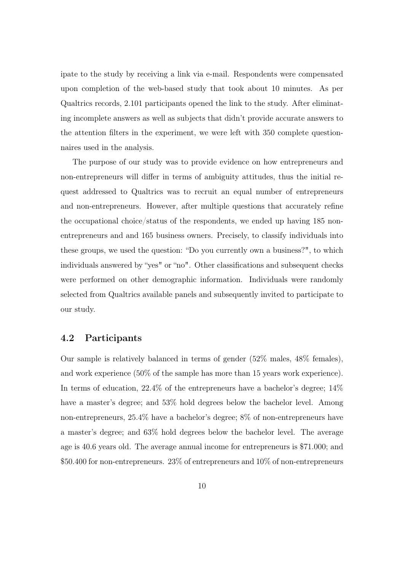ipate to the study by receiving a link via e-mail. Respondents were compensated upon completion of the web-based study that took about 10 minutes. As per Qualtrics records, 2.101 participants opened the link to the study. After eliminating incomplete answers as well as subjects that didn't provide accurate answers to the attention filters in the experiment, we were left with 350 complete questionnaires used in the analysis.

The purpose of our study was to provide evidence on how entrepreneurs and non-entrepreneurs will differ in terms of ambiguity attitudes, thus the initial request addressed to Qualtrics was to recruit an equal number of entrepreneurs and non-entrepreneurs. However, after multiple questions that accurately refine the occupational choice/status of the respondents, we ended up having 185 nonentrepreneurs and and 165 business owners. Precisely, to classify individuals into these groups, we used the question: "Do you currently own a business?", to which individuals answered by "yes" or "no". Other classifications and subsequent checks were performed on other demographic information. Individuals were randomly selected from Qualtrics available panels and subsequently invited to participate to our study.

### 4.2 Participants

Our sample is relatively balanced in terms of gender (52% males, 48% females), and work experience (50% of the sample has more than 15 years work experience). In terms of education, 22.4% of the entrepreneurs have a bachelor's degree; 14% have a master's degree; and  $53\%$  hold degrees below the bachelor level. Among non-entrepreneurs, 25.4% have a bachelor's degree; 8% of non-entrepreneurs have a master's degree; and 63% hold degrees below the bachelor level. The average age is 40.6 years old. The average annual income for entrepreneurs is \$71.000; and \$50.400 for non-entrepreneurs. 23% of entrepreneurs and 10% of non-entrepreneurs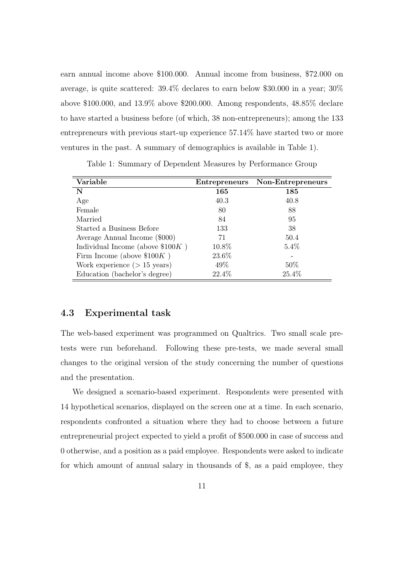earn annual income above \$100.000. Annual income from business, \$72.000 on average, is quite scattered: 39.4% declares to earn below \$30.000 in a year; 30% above \$100.000, and 13.9% above \$200.000. Among respondents, 48.85% declare to have started a business before (of which, 38 non-entrepreneurs); among the 133 entrepreneurs with previous start-up experience 57.14% have started two or more ventures in the past. A summary of demographics is available in Table 1).

| Variable                           | Entrepreneurs | Non-Entrepreneurs |
|------------------------------------|---------------|-------------------|
| N                                  | 165           | 185               |
| Age                                | 40.3          | 40.8              |
| Female                             | 80            | 88                |
| Married                            | 84            | 95                |
| Started a Business Before          | 133           | 38                |
| Average Annual Income (\$000)      | 71            | 50.4              |
| Individual Income (above $$100K$ ) | 10.8%         | $5.4\%$           |
| Firm Income (above $$100K$ )       | 23.6%         |                   |
| Work experience $($ > 15 years $)$ | 49\%          | 50\%              |
| Education (bachelor's degree)      | 22.4%         | 25.4%             |

Table 1: Summary of Dependent Measures by Performance Group

### 4.3 Experimental task

The web-based experiment was programmed on Qualtrics. Two small scale pretests were run beforehand. Following these pre-tests, we made several small changes to the original version of the study concerning the number of questions and the presentation.

We designed a scenario-based experiment. Respondents were presented with 14 hypothetical scenarios, displayed on the screen one at a time. In each scenario, respondents confronted a situation where they had to choose between a future entrepreneurial project expected to yield a profit of \$500.000 in case of success and 0 otherwise, and a position as a paid employee. Respondents were asked to indicate for which amount of annual salary in thousands of \$, as a paid employee, they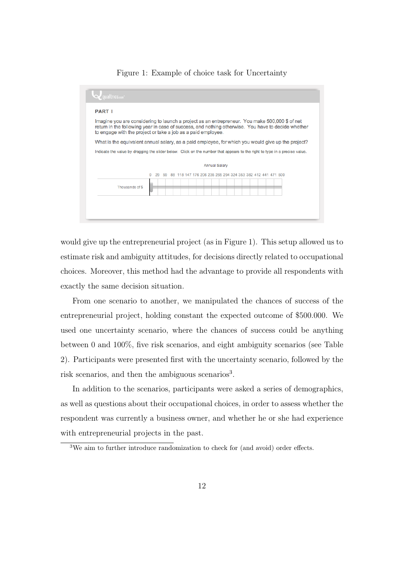#### Figure 1: Example of choice task for Uncertainty

| Imagine you are considering to launch a project as an entrepreneur. You make 500,000 \$ of net<br>return in the following year in case of success, and nothing otherwise. You have to decide whether<br>to engage with the project or take a job as a paid employee. |                                                                                                    |  |  |  |
|----------------------------------------------------------------------------------------------------------------------------------------------------------------------------------------------------------------------------------------------------------------------|----------------------------------------------------------------------------------------------------|--|--|--|
|                                                                                                                                                                                                                                                                      | What is the equivalent annual salary, as a paid employee, for which you would give up the project? |  |  |  |
| Indicate the value by dragging the slider below. Click on the number that appears to the right to type in a precise value.                                                                                                                                           |                                                                                                    |  |  |  |
|                                                                                                                                                                                                                                                                      |                                                                                                    |  |  |  |
|                                                                                                                                                                                                                                                                      | <b>Annual Salary</b>                                                                               |  |  |  |
|                                                                                                                                                                                                                                                                      | 118 147 176 206 235 265 294 324 353 382 412 441 471 500<br>29<br>59                                |  |  |  |
|                                                                                                                                                                                                                                                                      |                                                                                                    |  |  |  |
| Thousands of \$                                                                                                                                                                                                                                                      |                                                                                                    |  |  |  |

would give up the entrepreneurial project (as in Figure 1). This setup allowed us to estimate risk and ambiguity attitudes, for decisions directly related to occupational choices. Moreover, this method had the advantage to provide all respondents with exactly the same decision situation.

From one scenario to another, we manipulated the chances of success of the entrepreneurial project, holding constant the expected outcome of \$500.000. We used one uncertainty scenario, where the chances of success could be anything between 0 and 100%, five risk scenarios, and eight ambiguity scenarios (see Table 2). Participants were presented first with the uncertainty scenario, followed by the risk scenarios, and then the ambiguous scenarios<sup>3</sup>.

In addition to the scenarios, participants were asked a series of demographics, as well as questions about their occupational choices, in order to assess whether the respondent was currently a business owner, and whether he or she had experience with entrepreneurial projects in the past.

<sup>3</sup>We aim to further introduce randomization to check for (and avoid) order effects.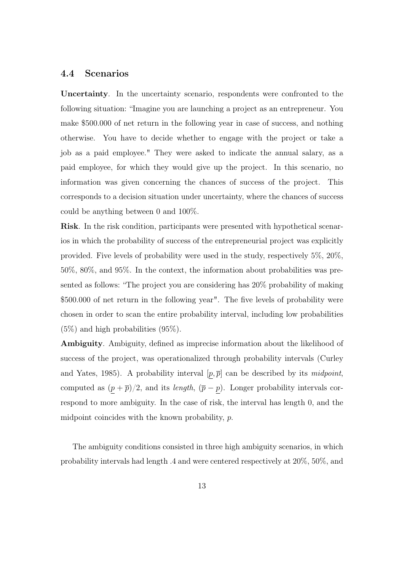### 4.4 Scenarios

Uncertainty. In the uncertainty scenario, respondents were confronted to the following situation: "Imagine you are launching a project as an entrepreneur. You make \$500.000 of net return in the following year in case of success, and nothing otherwise. You have to decide whether to engage with the project or take a job as a paid employee." They were asked to indicate the annual salary, as a paid employee, for which they would give up the project. In this scenario, no information was given concerning the chances of success of the project. This corresponds to a decision situation under uncertainty, where the chances of success could be anything between 0 and 100%.

Risk. In the risk condition, participants were presented with hypothetical scenarios in which the probability of success of the entrepreneurial project was explicitly provided. Five levels of probability were used in the study, respectively 5%, 20%, 50%, 80%, and 95%. In the context, the information about probabilities was presented as follows: "The project you are considering has 20% probability of making \$500.000 of net return in the following year". The five levels of probability were chosen in order to scan the entire probability interval, including low probabilities (5%) and high probabilities (95%).

Ambiguity. Ambiguity, defined as imprecise information about the likelihood of success of the project, was operationalized through probability intervals (Curley and Yates, 1985). A probability interval  $[p, \overline{p}]$  can be described by its *midpoint*, computed as  $(p + \overline{p})/2$ , and its *length*,  $(\overline{p} - \overline{p})$ . Longer probability intervals correspond to more ambiguity. In the case of risk, the interval has length 0, and the midpoint coincides with the known probability, p.

The ambiguity conditions consisted in three high ambiguity scenarios, in which probability intervals had length .4 and were centered respectively at 20%, 50%, and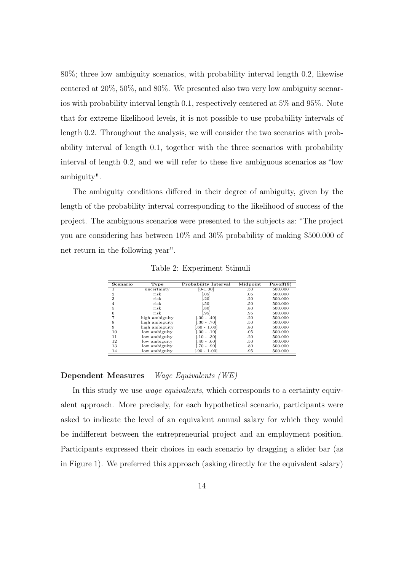80%; three low ambiguity scenarios, with probability interval length 0.2, likewise centered at 20%, 50%, and 80%. We presented also two very low ambiguity scenarios with probability interval length 0.1, respectively centered at 5% and 95%. Note that for extreme likelihood levels, it is not possible to use probability intervals of length 0.2. Throughout the analysis, we will consider the two scenarios with probability interval of length 0.1, together with the three scenarios with probability interval of length 0.2, and we will refer to these five ambiguous scenarios as "low ambiguity".

The ambiguity conditions differed in their degree of ambiguity, given by the length of the probability interval corresponding to the likelihood of success of the project. The ambiguous scenarios were presented to the subjects as: "The project you are considering has between 10% and 30% probability of making \$500.000 of net return in the following year".

| Scenario     | Type           | Probability Interval | Midpoint | $Payoff(\$)$ |
|--------------|----------------|----------------------|----------|--------------|
|              | uncertainty    | $[0-1.00]$           | .50      | 500.000      |
| $\mathbf{2}$ | risk           | [.05]                | .05      | 500.000      |
| 3            | risk           | [.20]                | .20      | 500.000      |
| 4            | risk           | [.50]                | .50      | 500.000      |
| 5            | risk           | [.80]                | .80      | 500.000      |
| 6            | risk           | [.95]                | .95      | 500.000      |
|              | high ambiguity | $0.00 - .401$        | .20      | 500.000      |
| 8            | high ambiguity | $-.30-.70]$          | .50      | 500.000      |
| 9            | high ambiguity | [.60 - 1.00]         | .80      | 500.000      |
| 10           | low ambiguity  | $[.00 - .10]$        | .05      | 500.000      |
| 11           | low ambiguity  | $.10-.30$            | .20      | 500.000      |
| 12           | low ambiguity  | $.40-.60$            | .50      | 500.000      |
| 13           | low ambiguity  | .70 - .901           | .80      | 500.000      |
| 14           | low ambiguitv  | $.90 - 1.00$         | .95      | 500.000      |

Table 2: Experiment Stimuli

### Dependent Measures – Wage Equivalents (WE)

In this study we use *wage equivalents*, which corresponds to a certainty equivalent approach. More precisely, for each hypothetical scenario, participants were asked to indicate the level of an equivalent annual salary for which they would be indifferent between the entrepreneurial project and an employment position. Participants expressed their choices in each scenario by dragging a slider bar (as in Figure 1). We preferred this approach (asking directly for the equivalent salary)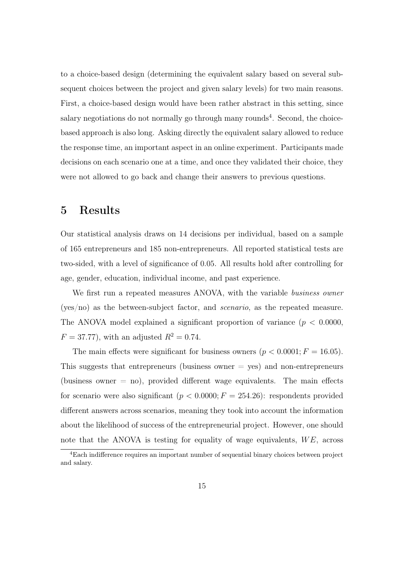to a choice-based design (determining the equivalent salary based on several subsequent choices between the project and given salary levels) for two main reasons. First, a choice-based design would have been rather abstract in this setting, since salary negotiations do not normally go through many rounds<sup>4</sup>. Second, the choicebased approach is also long. Asking directly the equivalent salary allowed to reduce the response time, an important aspect in an online experiment. Participants made decisions on each scenario one at a time, and once they validated their choice, they were not allowed to go back and change their answers to previous questions.

## 5 Results

Our statistical analysis draws on 14 decisions per individual, based on a sample of 165 entrepreneurs and 185 non-entrepreneurs. All reported statistical tests are two-sided, with a level of significance of 0.05. All results hold after controlling for age, gender, education, individual income, and past experience.

We first run a repeated measures ANOVA, with the variable business owner (yes/no) as the between-subject factor, and scenario, as the repeated measure. The ANOVA model explained a significant proportion of variance ( $p < 0.0000$ ),  $F = 37.77$ , with an adjusted  $R^2 = 0.74$ .

The main effects were significant for business owners  $(p < 0.0001; F = 16.05)$ . This suggests that entrepreneurs (business owner  $=$  yes) and non-entrepreneurs (business owner  $=$  no), provided different wage equivalents. The main effects for scenario were also significant  $(p < 0.0000; F = 254.26)$ : respondents provided different answers across scenarios, meaning they took into account the information about the likelihood of success of the entrepreneurial project. However, one should note that the ANOVA is testing for equality of wage equivalents,  $WE$ , across

<sup>4</sup>Each indifference requires an important number of sequential binary choices between project and salary.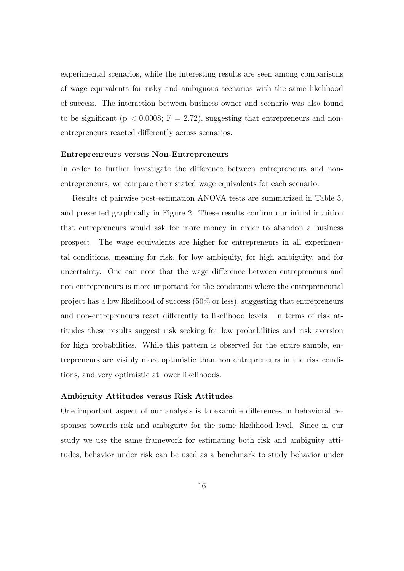experimental scenarios, while the interesting results are seen among comparisons of wage equivalents for risky and ambiguous scenarios with the same likelihood of success. The interaction between business owner and scenario was also found to be significant ( $p < 0.0008$ ;  $F = 2.72$ ), suggesting that entrepreneurs and nonentrepreneurs reacted differently across scenarios.

#### Entreprenreurs versus Non-Entrepreneurs

In order to further investigate the difference between entrepreneurs and nonentrepreneurs, we compare their stated wage equivalents for each scenario.

Results of pairwise post-estimation ANOVA tests are summarized in Table 3, and presented graphically in Figure 2. These results confirm our initial intuition that entrepreneurs would ask for more money in order to abandon a business prospect. The wage equivalents are higher for entrepreneurs in all experimental conditions, meaning for risk, for low ambiguity, for high ambiguity, and for uncertainty. One can note that the wage difference between entrepreneurs and non-entrepreneurs is more important for the conditions where the entrepreneurial project has a low likelihood of success (50% or less), suggesting that entrepreneurs and non-entrepreneurs react differently to likelihood levels. In terms of risk attitudes these results suggest risk seeking for low probabilities and risk aversion for high probabilities. While this pattern is observed for the entire sample, entrepreneurs are visibly more optimistic than non entrepreneurs in the risk conditions, and very optimistic at lower likelihoods.

#### Ambiguity Attitudes versus Risk Attitudes

One important aspect of our analysis is to examine differences in behavioral responses towards risk and ambiguity for the same likelihood level. Since in our study we use the same framework for estimating both risk and ambiguity attitudes, behavior under risk can be used as a benchmark to study behavior under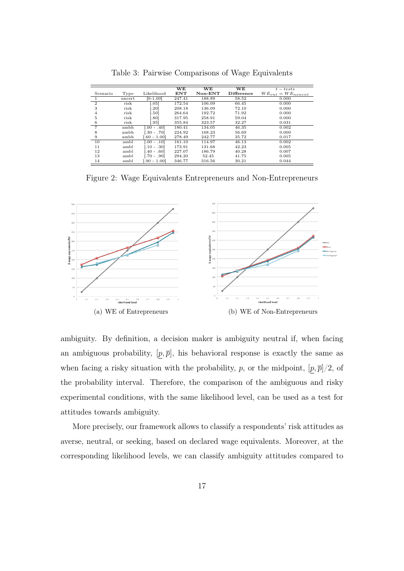|                |        |                  | WЕ         | WE        | WE         | $t - tests$              |
|----------------|--------|------------------|------------|-----------|------------|--------------------------|
| Scenario       | Type   | Likelihood       | <b>ENT</b> | $Non-ENT$ | Difference | $WE_{ent} = WE_{nonent}$ |
|                | uncert | $[0-1.00]$       | 247.41     | 188.89    | 58.52      | 0.000                    |
| $\overline{2}$ | risk   | 0.051            | 172.54     | 106.09    | 66.45      | 0.000                    |
| 3              | risk   | .20]             | 208.18     | 136.09    | 72.10      | 0.000                    |
| 4              | risk   | .501             | 264.64     | 192.72    | 71.92      | 0.000                    |
| 5              | risk   | .80 <sub>1</sub> | 317.95     | 258.91    | 59.04      | 0.000                    |
| 6              | risk   | .95              | 355.84     | 323.57    | 32.27      | 0.031                    |
| 7              | ambh   | $.00 - .40]$     | 180.41     | 134.05    | 46.35      | 0.002                    |
| 8              | ambh   | $-.30-.70]$      | 224.92     | 168.23    | 56.69      | 0.000                    |
| 9              | ambh   | [.60 - 1.00]     | 278.49     | 242.77    | 35.72      | 0.017                    |
| 10             | ambl   | $0.00 - 0.101$   | 161.10     | 114.97    | 46.13      | 0.002                    |
| 11             | ambl   | $0.10 - 0.301$   | 173.91     | 131.68    | 42.23      | 0.005                    |
| 12             | ambl   | $-40 - 60$       | 227.07     | 186.79    | 40.28      | 0.007                    |
| 13             | ambl   | $.70 - .90$      | 294.20     | 52.45     | 41.75      | 0.005                    |
| 14             | ambl   | $[.90 - 1.00]$   | 346.77     | 316.56    | 30.21      | 0.044                    |

Table 3: Pairwise Comparisons of Wage Equivalents

Figure 2: Wage Equivalents Entrepreneurs and Non-Entrepreneurs



ambiguity. By definition, a decision maker is ambiguity neutral if, when facing an ambiguous probability,  $[p, \overline{p}]$ , his behavioral response is exactly the same as when facing a risky situation with the probability, p, or the midpoint,  $[p, \overline{p}]/2$ , of the probability interval. Therefore, the comparison of the ambiguous and risky experimental conditions, with the same likelihood level, can be used as a test for attitudes towards ambiguity.

More precisely, our framework allows to classify a respondents' risk attitudes as averse, neutral, or seeking, based on declared wage equivalents. Moreover, at the corresponding likelihood levels, we can classify ambiguity attitudes compared to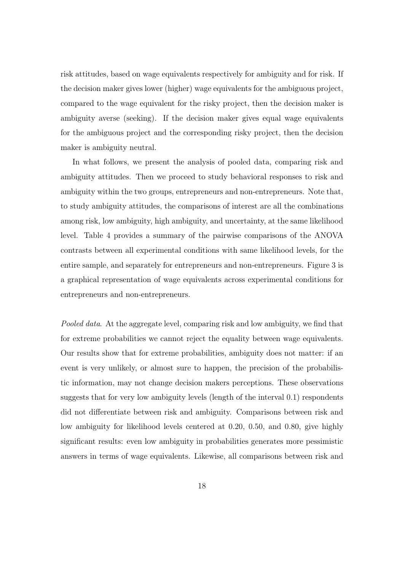risk attitudes, based on wage equivalents respectively for ambiguity and for risk. If the decision maker gives lower (higher) wage equivalents for the ambiguous project, compared to the wage equivalent for the risky project, then the decision maker is ambiguity averse (seeking). If the decision maker gives equal wage equivalents for the ambiguous project and the corresponding risky project, then the decision maker is ambiguity neutral.

In what follows, we present the analysis of pooled data, comparing risk and ambiguity attitudes. Then we proceed to study behavioral responses to risk and ambiguity within the two groups, entrepreneurs and non-entrepreneurs. Note that, to study ambiguity attitudes, the comparisons of interest are all the combinations among risk, low ambiguity, high ambiguity, and uncertainty, at the same likelihood level. Table 4 provides a summary of the pairwise comparisons of the ANOVA contrasts between all experimental conditions with same likelihood levels, for the entire sample, and separately for entrepreneurs and non-entrepreneurs. Figure 3 is a graphical representation of wage equivalents across experimental conditions for entrepreneurs and non-entrepreneurs.

Pooled data. At the aggregate level, comparing risk and low ambiguity, we find that for extreme probabilities we cannot reject the equality between wage equivalents. Our results show that for extreme probabilities, ambiguity does not matter: if an event is very unlikely, or almost sure to happen, the precision of the probabilistic information, may not change decision makers perceptions. These observations suggests that for very low ambiguity levels (length of the interval 0.1) respondents did not differentiate between risk and ambiguity. Comparisons between risk and low ambiguity for likelihood levels centered at 0.20, 0.50, and 0.80, give highly significant results: even low ambiguity in probabilities generates more pessimistic answers in terms of wage equivalents. Likewise, all comparisons between risk and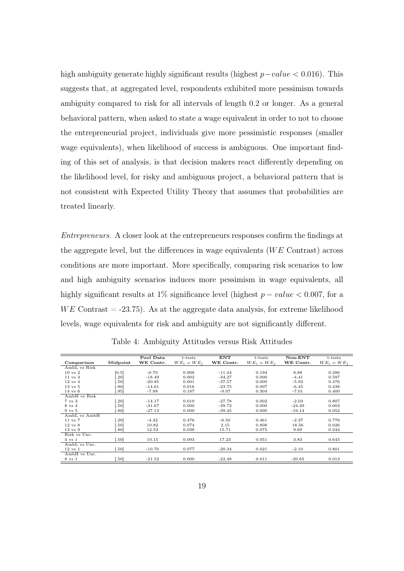high ambiguity generate highly significant results (highest p−value < 0.016). This suggests that, at aggregated level, respondents exhibited more pessimism towards ambiguity compared to risk for all intervals of length 0.2 or longer. As a general behavioral pattern, when asked to state a wage equivalent in order to not to choose the entrepreneurial project, individuals give more pessimistic responses (smaller wage equivalents), when likelihood of success is ambiguous. One important finding of this set of analysis, is that decision makers react differently depending on the likelihood level, for risky and ambiguous project, a behavioral pattern that is not consistent with Expected Utility Theory that assumes that probabilities are treated linearly.

Entrepreneurs. A closer look at the entrepreneurs responses confirm the findings at the aggregate level, but the differences in wage equivalents ( $WE$  Contrast) across conditions are more important. More specifically, comparing risk scenarios to low and high ambiguity scenarios induces more pessimism in wage equivalents, all highly significant results at 1% significance level (highest  $p-value < 0.007$ , for a  $WE$  Contrast  $= -23.75$ ). As at the aggregate data analysis, for extreme likelihood levels, wage equivalents for risk and ambiguity are not significantly different.

|                    |          | Pool Data | t-tests       | <b>ENT</b> | t-tests       | $Non-ENT$ | t-tests       |
|--------------------|----------|-----------|---------------|------------|---------------|-----------|---------------|
| Comparison         | Midpoint | WE Contr. | $WE_i = WE_i$ | WE Contr.  | $WE_i = WE_i$ | WE Contr. | $WE_i = WE_i$ |
| AmbL vs Risk       |          |           |               |            |               |           |               |
| $10 \text{ vs } 2$ | [0.5]    | $-0.70$   | 0.908         | $-11.44$   | 0.194         | 8.88      | 0.286         |
| $11$ vs $3$        | .201     | $-18.49$  | 0.002         | $-34.27$   | 0.000         | $-4.41$   | 0.597         |
| $12 \text{ vs } 4$ | .50]     | $-20.85$  | 0.001         | $-37.57$   | 0.000         | $-5.93$   | 0.476         |
| $13 \text{ vs } 5$ | .80]     | $-14.61$  | 0.016         | $-23.75$   | 0.007         | $-6.45$   | 0.438         |
| $14 \text{ vs } 6$ | .95]     | $-7.98$   | 0.187         | $-9.07$    | 0.304         | $-7.01$   | 0.400         |
| AmbH vs Risk       |          |           |               |            |               |           |               |
| $7 \text{ vs } 3$  | .20]     | $-14.17$  | 0.019         | $-27.78$   | 0.002         | $-2.03$   | 0.807         |
| 8 vs 4             | .50]     | $-31.67$  | 0.000         | $-39.72$   | 0.000         | $-24.49$  | 0.003         |
| $9 \text{ vs } 5$  | .801     | $-27.13$  | 0.000         | $-39.45$   | 0.000         | $-16.14$  | 0.052         |
| AmbL vs AmbH       |          |           |               |            |               |           |               |
| $11$ vs $7$        | .20]     | $-4.32$   | 0.476         | $-6.50$    | 0.461         | $-2.37$   | 0.776         |
| $12 \text{ vs } 8$ | .50]     | 10.82     | 0.074         | 2.15       | 0.808         | 18.56     | 0.026         |
| $13 \text{ vs } 9$ | .801     | 12.53     | 0.038         | 15.71      | 0.075         | 9.69      | 0.244         |
| Risk vs Unc.       |          |           |               |            |               |           |               |
| $4 \text{ vs } 1$  | .501     | 10.15     | 0.093         | 17.23      | 0.051         | 3.83      | 0.645         |
| AmbL vs Unc.       |          |           |               |            |               |           |               |
| $12 \text{ vs } 1$ | .501     | $-10.70$  | 0.077         | $-20.34$   | 0.021         | $-2.10$   | 0.801         |
| AmbH vs Unc.       |          |           |               |            |               |           |               |
| 8 vs 1             | .50]     | $-21.52$  | 0.000         | $-22.48$   | 0.011         | $-20.65$  | 0.013         |

Table 4: Ambiguity Attitudes versus Risk Attitudes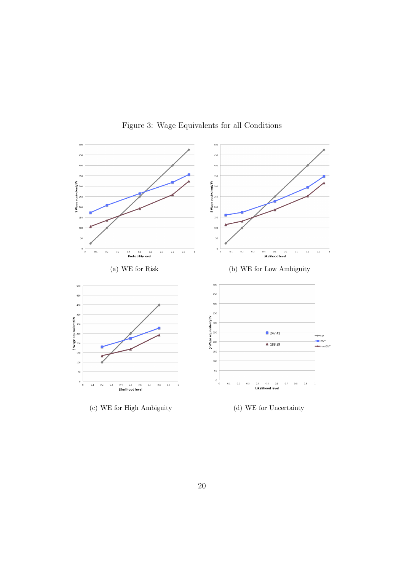

Figure 3: Wage Equivalents for all Conditions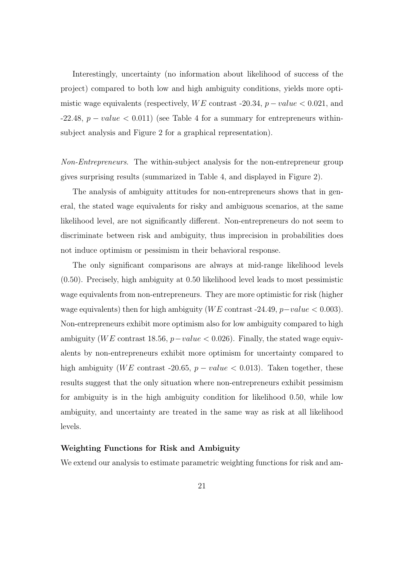Interestingly, uncertainty (no information about likelihood of success of the project) compared to both low and high ambiguity conditions, yields more optimistic wage equivalents (respectively,  $WE$  contrast -20.34,  $p-value < 0.021$ , and  $-22.48$ ,  $p-value < 0.011$ ) (see Table 4 for a summary for entrepreneurs withinsubject analysis and Figure 2 for a graphical representation).

Non-Entrepreneurs. The within-subject analysis for the non-entrepreneur group gives surprising results (summarized in Table 4, and displayed in Figure 2).

The analysis of ambiguity attitudes for non-entrepreneurs shows that in general, the stated wage equivalents for risky and ambiguous scenarios, at the same likelihood level, are not significantly different. Non-entrepreneurs do not seem to discriminate between risk and ambiguity, thus imprecision in probabilities does not induce optimism or pessimism in their behavioral response.

The only significant comparisons are always at mid-range likelihood levels (0.50). Precisely, high ambiguity at 0.50 likelihood level leads to most pessimistic wage equivalents from non-entrepreneurs. They are more optimistic for risk (higher wage equivalents) then for high ambiguity (WE contrast -24.49,  $p-value < 0.003$ ). Non-entrepreneurs exhibit more optimism also for low ambiguity compared to high ambiguity (WE contrast 18.56,  $p-value < 0.026$ ). Finally, the stated wage equivalents by non-entrepreneurs exhibit more optimism for uncertainty compared to high ambiguity (WE contrast -20.65,  $p-value < 0.013$ ). Taken together, these results suggest that the only situation where non-entrepreneurs exhibit pessimism for ambiguity is in the high ambiguity condition for likelihood 0.50, while low ambiguity, and uncertainty are treated in the same way as risk at all likelihood levels.

### Weighting Functions for Risk and Ambiguity

We extend our analysis to estimate parametric weighting functions for risk and am-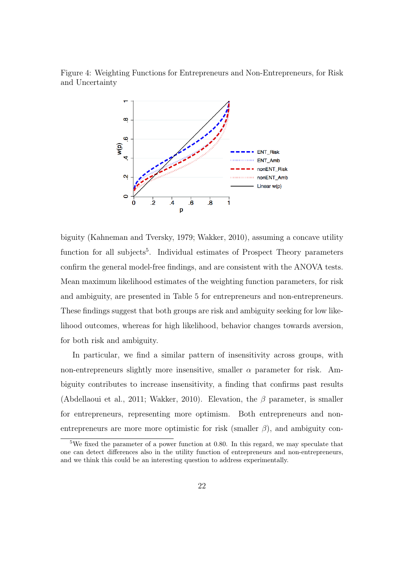Figure 4: Weighting Functions for Entrepreneurs and Non-Entrepreneurs, for Risk and Uncertainty



biguity (Kahneman and Tversky, 1979; Wakker, 2010), assuming a concave utility function for all subjects<sup>5</sup>. Individual estimates of Prospect Theory parameters confirm the general model-free findings, and are consistent with the ANOVA tests. Mean maximum likelihood estimates of the weighting function parameters, for risk and ambiguity, are presented in Table 5 for entrepreneurs and non-entrepreneurs. These findings suggest that both groups are risk and ambiguity seeking for low likelihood outcomes, whereas for high likelihood, behavior changes towards aversion, for both risk and ambiguity.

In particular, we find a similar pattern of insensitivity across groups, with non-entrepreneurs slightly more insensitive, smaller  $\alpha$  parameter for risk. Ambiguity contributes to increase insensitivity, a finding that confirms past results (Abdellaoui et al., 2011; Wakker, 2010). Elevation, the  $\beta$  parameter, is smaller for entrepreneurs, representing more optimism. Both entrepreneurs and nonentrepreneurs are more more optimistic for risk (smaller  $\beta$ ), and ambiguity con-

<sup>5</sup>We fixed the parameter of a power function at 0.80. In this regard, we may speculate that one can detect differences also in the utility function of entrepreneurs and non-entrepreneurs, and we think this could be an interesting question to address experimentally.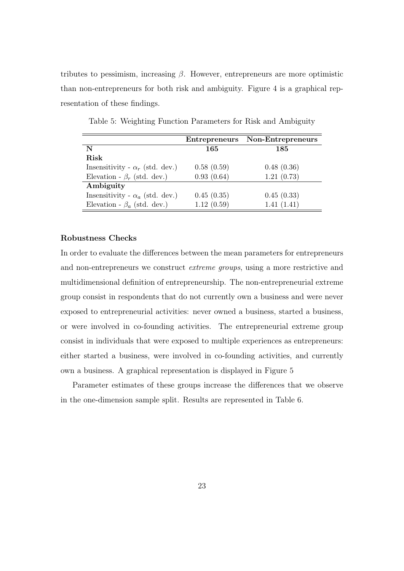tributes to pessimism, increasing  $\beta$ . However, entrepreneurs are more optimistic than non-entrepreneurs for both risk and ambiguity. Figure 4 is a graphical representation of these findings.

|                                        |            | Entrepreneurs Non-Entrepreneurs |
|----------------------------------------|------------|---------------------------------|
| N                                      | 165        | 185                             |
| Risk                                   |            |                                 |
| Insensitivity - $\alpha_r$ (std. dev.) | 0.58(0.59) | 0.48(0.36)                      |
| Elevation - $\beta_r$ (std. dev.)      | 0.93(0.64) | 1.21(0.73)                      |
| Ambiguity                              |            |                                 |
| Insensitivity - $\alpha_a$ (std. dev.) | 0.45(0.35) | 0.45(0.33)                      |
| Elevation - $\beta_a$ (std. dev.)      | 1.12(0.59) | 1.41(1.41)                      |

Table 5: Weighting Function Parameters for Risk and Ambiguity

#### Robustness Checks

In order to evaluate the differences between the mean parameters for entrepreneurs and non-entrepreneurs we construct extreme groups, using a more restrictive and multidimensional definition of entrepreneurship. The non-entrepreneurial extreme group consist in respondents that do not currently own a business and were never exposed to entrepreneurial activities: never owned a business, started a business, or were involved in co-founding activities. The entrepreneurial extreme group consist in individuals that were exposed to multiple experiences as entrepreneurs: either started a business, were involved in co-founding activities, and currently own a business. A graphical representation is displayed in Figure 5

Parameter estimates of these groups increase the differences that we observe in the one-dimension sample split. Results are represented in Table 6.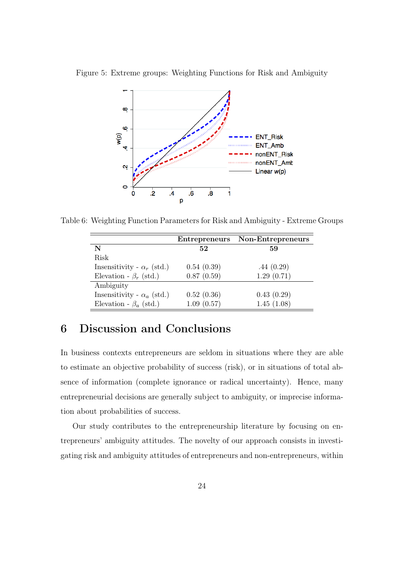

Figure 5: Extreme groups: Weighting Functions for Risk and Ambiguity

Table 6: Weighting Function Parameters for Risk and Ambiguity - Extreme Groups

|                                   | <b>Entrepreneurs</b> | Non-Entrepreneurs |
|-----------------------------------|----------------------|-------------------|
| N                                 | 52                   | 59                |
| Risk                              |                      |                   |
| Insensitivity - $\alpha_r$ (std.) | 0.54(0.39)           | .44(0.29)         |
| Elevation - $\beta_r$ (std.)      | 0.87(0.59)           | 1.29(0.71)        |
| Ambiguity                         |                      |                   |
| Insensitivity - $\alpha_a$ (std.) | 0.52(0.36)           | 0.43(0.29)        |
| Elevation - $\beta_a$ (std.)      | 1.09(0.57)           | 1.45(1.08)        |

# 6 Discussion and Conclusions

In business contexts entrepreneurs are seldom in situations where they are able to estimate an objective probability of success (risk), or in situations of total absence of information (complete ignorance or radical uncertainty). Hence, many entrepreneurial decisions are generally subject to ambiguity, or imprecise information about probabilities of success.

Our study contributes to the entrepreneurship literature by focusing on entrepreneurs' ambiguity attitudes. The novelty of our approach consists in investigating risk and ambiguity attitudes of entrepreneurs and non-entrepreneurs, within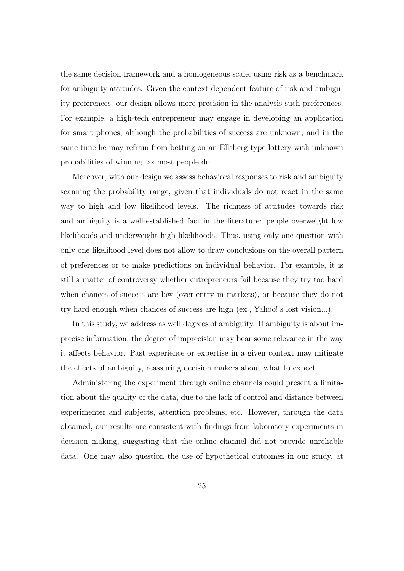the same decision framework and a homogeneous scale, using risk as a benchmark for ambiguity attitudes. Given the context-dependent feature of risk and ambiguity preferences, our design allows more precision in the analysis such preferences. For example, a high-tech entrepreneur may engage in developing an application for smart phones, although the probabilities of success are unknown, and in the same time he may refrain from betting on an Ellsberg-type lottery with unknown probabilities of winning, as most people do.

Moreover, with our design we assess behavioral responses to risk and ambiguity scanning the probability range, given that individuals do not react in the same way to high and low likelihood levels. The richness of attitudes towards risk and ambiguity is a well-established fact in the literature: people overweight low likelihoods and underweight high likelihoods. Thus, using only one question with only one likelihood level does not allow to draw conclusions on the overall pattern of preferences or to make predictions on individual behavior. For example, it is still a matter of controversy whether entrepreneurs fail because they try too hard when chances of success are low (over-entry in markets), or because they do not try hard enough when chances of success are high (ex., Yahoo!'s lost vision...).

In this study, we address as well degrees of ambiguity. If ambiguity is about imprecise information, the degree of imprecision may bear some relevance in the way it affects behavior. Past experience or expertise in a given context may mitigate the effects of ambiguity, reassuring decision makers about what to expect.

Administering the experiment through online channels could present a limitation about the quality of the data, due to the lack of control and distance between experimenter and subjects, attention problems, etc. However, through the data obtained, our results are consistent with findings from laboratory experiments in decision making, suggesting that the online channel did not provide unreliable data. One may also question the use of hypothetical outcomes in our study, at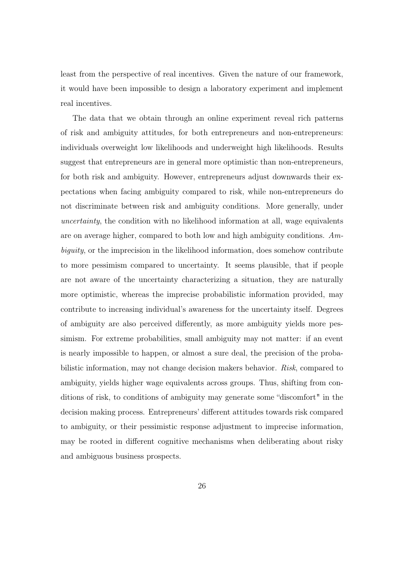least from the perspective of real incentives. Given the nature of our framework, it would have been impossible to design a laboratory experiment and implement real incentives.

The data that we obtain through an online experiment reveal rich patterns of risk and ambiguity attitudes, for both entrepreneurs and non-entrepreneurs: individuals overweight low likelihoods and underweight high likelihoods. Results suggest that entrepreneurs are in general more optimistic than non-entrepreneurs, for both risk and ambiguity. However, entrepreneurs adjust downwards their expectations when facing ambiguity compared to risk, while non-entrepreneurs do not discriminate between risk and ambiguity conditions. More generally, under uncertainty, the condition with no likelihood information at all, wage equivalents are on average higher, compared to both low and high ambiguity conditions. Ambiguity, or the imprecision in the likelihood information, does somehow contribute to more pessimism compared to uncertainty. It seems plausible, that if people are not aware of the uncertainty characterizing a situation, they are naturally more optimistic, whereas the imprecise probabilistic information provided, may contribute to increasing individual's awareness for the uncertainty itself. Degrees of ambiguity are also perceived differently, as more ambiguity yields more pessimism. For extreme probabilities, small ambiguity may not matter: if an event is nearly impossible to happen, or almost a sure deal, the precision of the probabilistic information, may not change decision makers behavior. Risk, compared to ambiguity, yields higher wage equivalents across groups. Thus, shifting from conditions of risk, to conditions of ambiguity may generate some "discomfort" in the decision making process. Entrepreneurs' different attitudes towards risk compared to ambiguity, or their pessimistic response adjustment to imprecise information, may be rooted in different cognitive mechanisms when deliberating about risky and ambiguous business prospects.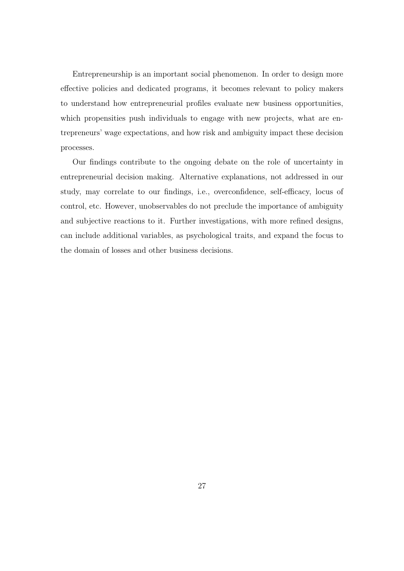Entrepreneurship is an important social phenomenon. In order to design more effective policies and dedicated programs, it becomes relevant to policy makers to understand how entrepreneurial profiles evaluate new business opportunities, which propensities push individuals to engage with new projects, what are entrepreneurs' wage expectations, and how risk and ambiguity impact these decision processes.

Our findings contribute to the ongoing debate on the role of uncertainty in entrepreneurial decision making. Alternative explanations, not addressed in our study, may correlate to our findings, i.e., overconfidence, self-efficacy, locus of control, etc. However, unobservables do not preclude the importance of ambiguity and subjective reactions to it. Further investigations, with more refined designs, can include additional variables, as psychological traits, and expand the focus to the domain of losses and other business decisions.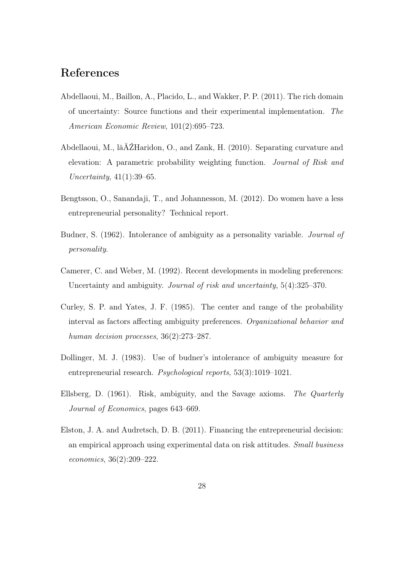# References

- Abdellaoui, M., Baillon, A., Placido, L., and Wakker, P. P. (2011). The rich domain of uncertainty: Source functions and their experimental implementation. The American Economic Review, 101(2):695–723.
- Abdellaoui, M., lâĂŹHaridon, O., and Zank, H. (2010). Separating curvature and elevation: A parametric probability weighting function. Journal of Risk and Uncertainty, 41(1):39–65.
- Bengtsson, O., Sanandaji, T., and Johannesson, M. (2012). Do women have a less entrepreneurial personality? Technical report.
- Budner, S. (1962). Intolerance of ambiguity as a personality variable. Journal of personality.
- Camerer, C. and Weber, M. (1992). Recent developments in modeling preferences: Uncertainty and ambiguity. Journal of risk and uncertainty, 5(4):325–370.
- Curley, S. P. and Yates, J. F. (1985). The center and range of the probability interval as factors affecting ambiguity preferences. Organizational behavior and human decision processes,  $36(2):273-287$ .
- Dollinger, M. J. (1983). Use of budner's intolerance of ambiguity measure for entrepreneurial research. Psychological reports, 53(3):1019–1021.
- Ellsberg, D. (1961). Risk, ambiguity, and the Savage axioms. The Quarterly Journal of Economics, pages 643–669.
- Elston, J. A. and Audretsch, D. B. (2011). Financing the entrepreneurial decision: an empirical approach using experimental data on risk attitudes. Small business economics, 36(2):209–222.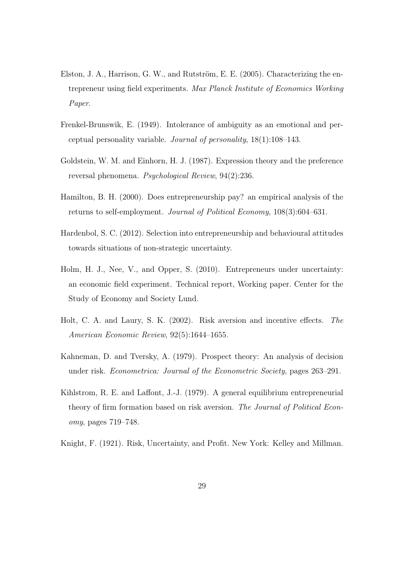- Elston, J. A., Harrison, G. W., and Rutström, E. E. (2005). Characterizing the entrepreneur using field experiments. Max Planck Institute of Economics Working Paper.
- Frenkel-Brunswik, E. (1949). Intolerance of ambiguity as an emotional and perceptual personality variable. Journal of personality, 18(1):108–143.
- Goldstein, W. M. and Einhorn, H. J. (1987). Expression theory and the preference reversal phenomena. Psychological Review, 94(2):236.
- Hamilton, B. H. (2000). Does entrepreneurship pay? an empirical analysis of the returns to self-employment. Journal of Political Economy, 108(3):604–631.
- Hardenbol, S. C. (2012). Selection into entrepreneurship and behavioural attitudes towards situations of non-strategic uncertainty.
- Holm, H. J., Nee, V., and Opper, S. (2010). Entrepreneurs under uncertainty: an economic field experiment. Technical report, Working paper. Center for the Study of Economy and Society Lund.
- Holt, C. A. and Laury, S. K. (2002). Risk aversion and incentive effects. The American Economic Review, 92(5):1644–1655.
- Kahneman, D. and Tversky, A. (1979). Prospect theory: An analysis of decision under risk. *Econometrica: Journal of the Econometric Society*, pages 263–291.
- Kihlstrom, R. E. and Laffont, J.-J. (1979). A general equilibrium entrepreneurial theory of firm formation based on risk aversion. The Journal of Political Economy, pages 719–748.
- Knight, F. (1921). Risk, Uncertainty, and Profit. New York: Kelley and Millman.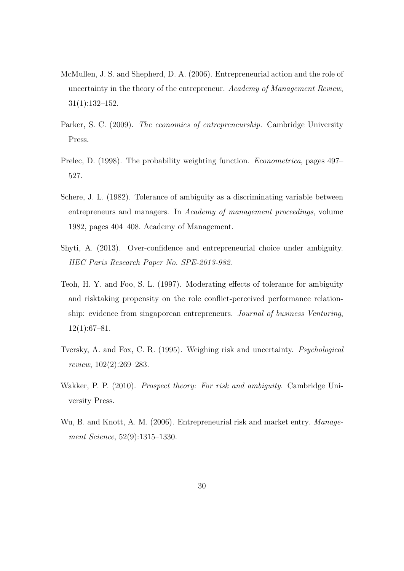- McMullen, J. S. and Shepherd, D. A. (2006). Entrepreneurial action and the role of uncertainty in the theory of the entrepreneur. Academy of Management Review, 31(1):132–152.
- Parker, S. C. (2009). The economics of entrepreneurship. Cambridge University Press.
- Prelec, D. (1998). The probability weighting function. *Econometrica*, pages 497– 527.
- Schere, J. L. (1982). Tolerance of ambiguity as a discriminating variable between entrepreneurs and managers. In Academy of management proceedings, volume 1982, pages 404–408. Academy of Management.
- Shyti, A. (2013). Over-confidence and entrepreneurial choice under ambiguity. HEC Paris Research Paper No. SPE-2013-982.
- Teoh, H. Y. and Foo, S. L. (1997). Moderating effects of tolerance for ambiguity and risktaking propensity on the role conflict-perceived performance relationship: evidence from singaporean entrepreneurs. Journal of business Venturing,  $12(1):67-81.$
- Tversky, A. and Fox, C. R. (1995). Weighing risk and uncertainty. Psychological review, 102(2):269–283.
- Wakker, P. P. (2010). Prospect theory: For risk and ambiguity. Cambridge University Press.
- Wu, B. and Knott, A. M. (2006). Entrepreneurial risk and market entry. Management Science, 52(9):1315–1330.